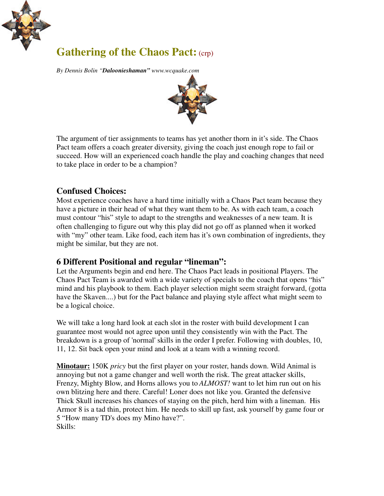

# **Gathering of the Chaos Pact:** (crp)

*By Dennis Bolin "Daloonieshaman" www.wcquake.com*



The argument of tier assignments to teams has yet another thorn in it's side. The Chaos Pact team offers a coach greater diversity, giving the coach just enough rope to fail or succeed. How will an experienced coach handle the play and coaching changes that need to take place in order to be a champion?

## **Confused Choices:**

Most experience coaches have a hard time initially with a Chaos Pact team because they have a picture in their head of what they want them to be. As with each team, a coach must contour "his" style to adapt to the strengths and weaknesses of a new team. It is often challenging to figure out why this play did not go off as planned when it worked with "my" other team. Like food, each item has it's own combination of ingredients, they might be similar, but they are not.

### **6 Different Positional and regular "lineman":**

Let the Arguments begin and end here. The Chaos Pact leads in positional Players. The Chaos Pact Team is awarded with a wide variety of specials to the coach that opens "his" mind and his playbook to them. Each player selection might seem straight forward, (gotta have the Skaven....) but for the Pact balance and playing style affect what might seem to be a logical choice.

We will take a long hard look at each slot in the roster with build development I can guarantee most would not agree upon until they consistently win with the Pact. The breakdown is a group of 'normal' skills in the order I prefer. Following with doubles, 10, 11, 12. Sit back open your mind and look at a team with a winning record.

**Minotaur:** 150K *pricy* but the first player on your roster, hands down. Wild Animal is annoying but not a game changer and well worth the risk. The great attacker skills, Frenzy, Mighty Blow, and Horns allows you to *ALMOST!* want to let him run out on his own blitzing here and there. Careful! Loner does not like you. Granted the defensive Thick Skull increases his chances of staying on the pitch, herd him with a lineman. His Armor 8 is a tad thin, protect him. He needs to skill up fast, ask yourself by game four or 5 "How many TD's does my Mino have?". Skills: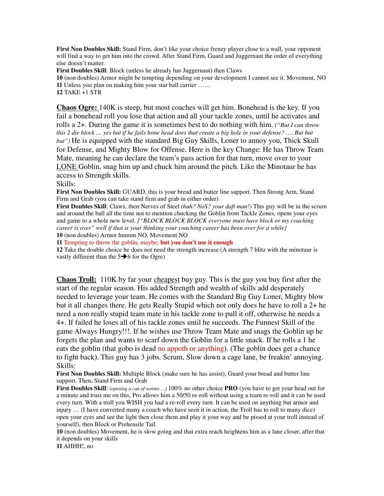**First Non Doubles Skill:** Stand Firm, don't like your choice frenzy player close to a wall, your opponent will find a way to get him into the crowd. After Stand Firm, Guard and Juggernaut the order of everything else doesn't matter.

**First Doubles Skill**: Block (unless he already has Juggernaut) then Claws

**10** (non doubles) Armor might be tempting depending on your development I cannot see it. Movement, NO **11** Unless you plan on making him your star ball carrier ……

**12** TAKE +1 STR

**Chaos Ogre:** 140K is steep, but most coaches will get him. Bonehead is the key. If you fail a bonehead roll you lose that action and all your tackle zones, until he activates and rolls a 2+. During the game it is sometimes best to do nothing with him. *("But I can throw this 2 die block … yes but if he fails bone head does that create a big hole in your defense? …. But but but")* He is equipped with the standard Big Guy Skills, Loner to annoy you, Thick Skull for Defense, and Mighty Blow for Offense. Here is the key Change: He has Throw Team Mate, meaning he can declare the team's pass action for that turn, move over to your LONE Goblin, snag him up and chuck him around the pitch. Like the Minotaur he has access to Strength skills.

#### Skills:

**First Non Doubles Skill:** GUARD, this is your bread and butter line support. Then Strong Arm, Stand Firm and Grab (you can take stand firm and grab in either order)

**First Doubles Skill**: Claws, then Nerves of Steel *(huh? NoS? your daft man!)* This guy will be in the scrum and around the ball all the time not to mention chucking the Goblin from Tackle Zones, opens your eyes and game to a whole new level. *{"BLOCK BLOCK BLOCK everyone must have block or my coaching career is over" well if that is your thinking your coaching career has been over for a while}* **10** (non doubles) Armor hmmm NO, Movement NO

**11** Tempting to throw the goblin, maybe; **but you don't use it enough**

**12** Take the double choice he does not need the strength increase (A strength 7 blitz with the minotaur is vastly different than the  $5\rightarrow 6$  for the Ogre)

**Chaos Troll:** 110K by far your cheapest buy guy. This is the guy you buy first after the start of the regular season. His added Strength and wealth of skills add desperately needed to leverage your team. He comes with the Standard Big Guy Loner, Mighty blow but it all changes there. He gets Really Stupid which not only does he have to roll a 2+ he need a non really stupid team mate in his tackle zone to pull it off, otherwise he needs a 4+. If failed he loses all of his tackle zones until he succeeds. The Funnest Skill of the game Always Hungry!!!. If he wishes use Throw Team Mate and snags the Goblin up he forgets the plan and wants to scarf down the Goblin for a little snack. If he rolls a 1 he eats the goblin (that gobo is dead no appoth or anything). (The goblin does get a chance to fight back). This guy has 3 jobs. Scrum, Slow down a cage lane, be freakin' annoying. Skills:

**First Non Doubles Skill:** Multiple Block (make sure he has assist), Guard your bread and butter line support. Then, Stand Firm and Grab

**First Doubles Skill**: *(opening a can of worms …)* 100% no other choice **PRO** (you have to get your head out for a minute and trust me on this, Pro allows him a 50/50 re-roll without using a team re-roll and it can be used every turn. With a troll you WISH you had a re-roll every turn. It can be used on anything but armor and injury … (I have converted many a coach who have seen it in action, the Troll has to roll to many dice) open your eyes and see the light then close them and play it your way and be pissed at your troll instead of yourself), then Block or Prehensile Tail.

**10** (non doubles) Movement, he is slow going and that extra reach heightens him as a lane closer, after that it depends on your skills

**11** AHHH!, no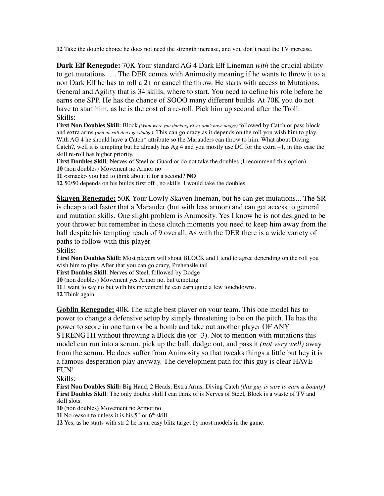**12** Take the double choice he does not need the strength increase, and you don't need the TV increase.

**Dark Elf Renegade:** 70K Your standard AG 4 Dark Elf Lineman *with* the crucial ability to get mutations …. The DER comes with Animosity meaning if he wants to throw it to a non Dark Elf he has to roll a 2+ or cancel the throw. He starts with access to Mutations, General and Agility that is 34 skills, where to start. You need to define his role before he earns one SPP. He has the chance of SOOO many different builds. At 70K you do not have to start him, as he is the cost of a re-roll. Pick him up second after the Troll. Skills:

**First Non Doubles Skill:** Block *(What were you thinking Elves don't have dodge)* followed by Catch or pass block and extra arms *(and no still don't get dodge)*. This can go crazy as it depends on the roll you wish him to play. With AG 4 he should have a Catch\* attribute so the Marauders can throw to him. What about Diving Catch?, well it is tempting but he already has Ag 4 and you mostly use DC for the extra +1, in this case the skill re-roll has higher priority.

**First Doubles Skill**: Nerves of Steel or Guard or do not take the doubles (I recommend this option) **10** (non doubles) Movement no Armor no

**11 <**smack> you had to think about it for a second? **NO**

**12** 50/50 depends on his builds first off , no skills I would take the doubles

**Skaven Renegade:** 50K Your Lowly Skaven lineman, but he can get mutations... The SR is cheap a tad faster that a Marauder (but with less armor) and can get access to general and mutation skills. One slight problem is Animosity. Yes I know he is not designed to be your thrower but remember in those clutch moments you need to keep him away from the ball despite his tempting reach of 9 overall. As with the DER there is a wide variety of paths to follow with this player

Skills:

**First Non Doubles Skill:** Most players will shout BLOCK and I tend to agree depending on the roll you wish him to play. After that you can go crazy, Prehensile tail

**First Doubles Skill**: Nerves of Steel, followed by Dodge

**10** (non doubles) Movement yes Armor no, but tempting

**11** I want to say no but with his movement he can earn quite a few touchdowns.

**12** Think again

**Goblin Renegade:** 40K The single best player on your team. This one model has to power to change a defensive setup by simply threatening to be on the pitch. He has the power to score in one turn or be a bomb and take out another player OF ANY STRENGTH without throwing a Block die (or -3). Not to mention with mutations this model can run into a scrum, pick up the ball, dodge out, and pass it *(not very well)* away from the scrum. He does suffer from Animosity so that tweaks things a little but hey it is a famous desperation play anyway. The development path for this guy is clear HAVE FUN!

Skills:

**First Non Doubles Skill:** Big Hand, 2 Heads, Extra Arms, Diving Catch *(this guy is sure to earn a bounty)* **First Doubles Skill**: The only double skill I can think of is Nerves of Steel, Block is a waste of TV and skill slots.

**10** (non doubles) Movement no Armor no

**11** No reason to unless it is his  $5<sup>th</sup>$  or  $6<sup>th</sup>$  skill

**12** Yes, as he starts with str 2 he is an easy blitz target by most models in the game.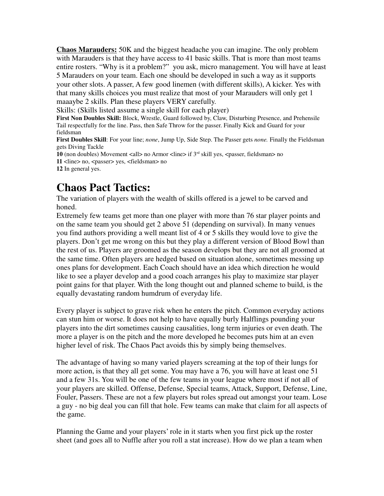**Chaos Marauders:** 50K and the biggest headache you can imagine. The only problem with Marauders is that they have access to 41 basic skills. That is more than most teams entire rosters. "Why is it a problem?" you ask, micro management. You will have at least 5 Marauders on your team. Each one should be developed in such a way as it supports your other slots. A passer, A few good linemen (with different skills), A kicker. Yes with that many skills choices you must realize that most of your Marauders will only get 1 maaaybe 2 skills. Plan these players VERY carefully.

Skills: (Skills listed assume a single skill for each player)

**First Non Doubles Skill:** Block, Wrestle, Guard followed by, Claw, Disturbing Presence, and Prehensile Tail respectfully for the line. Pass, then Safe Throw for the passer. Finally Kick and Guard for your fieldsman

**First Doubles Skill**: For your line; *none*, Jump Up, Side Step. The Passer gets *none.* Finally the Fieldsman gets Diving Tackle

10 (non doubles) Movement <all> no Armor <line> if  $3<sup>rd</sup>$  skill yes, <passer, fieldsman> no **11** <line> no, <passer> yes, <fieldsman> no

**12** In general yes.

## **Chaos Pact Tactics:**

The variation of players with the wealth of skills offered is a jewel to be carved and honed.

Extremely few teams get more than one player with more than 76 star player points and on the same team you should get 2 above 51 (depending on survival). In many venues you find authors providing a well meant list of 4 or 5 skills they would love to give the players. Don't get me wrong on this but they play a different version of Blood Bowl than the rest of us. Players are groomed as the season develops but they are not all groomed at the same time. Often players are hedged based on situation alone, sometimes messing up ones plans for development. Each Coach should have an idea which direction he would like to see a player develop and a good coach arranges his play to maximize star player point gains for that player. With the long thought out and planned scheme to build, is the equally devastating random humdrum of everyday life.

Every player is subject to grave risk when he enters the pitch. Common everyday actions can stun him or worse. It does not help to have equally burly Halflings pounding your players into the dirt sometimes causing causalities, long term injuries or even death. The more a player is on the pitch and the more developed he becomes puts him at an even higher level of risk. The Chaos Pact avoids this by simply being themselves.

The advantage of having so many varied players screaming at the top of their lungs for more action, is that they all get some. You may have a 76, you will have at least one 51 and a few 31s. You will be one of the few teams in your league where most if not all of your players are skilled. Offense, Defense, Special teams, Attack, Support, Defense, Line, Fouler, Passers. These are not a few players but roles spread out amongst your team. Lose a guy - no big deal you can fill that hole. Few teams can make that claim for all aspects of the game.

Planning the Game and your players' role in it starts when you first pick up the roster sheet (and goes all to Nuffle after you roll a stat increase). How do we plan a team when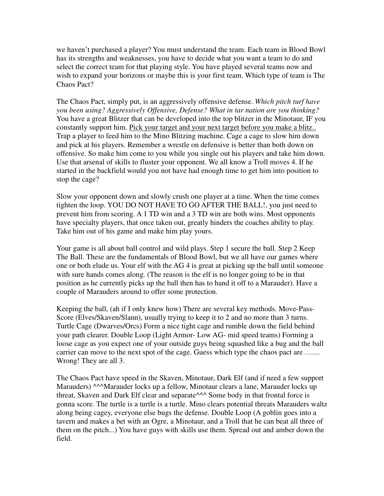we haven't purchased a player? You must understand the team. Each team in Blood Bowl has its strengths and weaknesses, you have to decide what you want a team to do and select the correct team for that playing style. You have played several teams now and wish to expand your horizons or maybe this is your first team. Which type of team is The Chaos Pact?

The Chaos Pact, simply put, is an aggressively offensive defense. *Which pitch turf have you been using? Aggressively Offensive, Defense? What in tar nation are you thinking?* You have a great Blitzer that can be developed into the top blitzer in the Minotaur, IF you constantly support him. Pick your target and your next target before you make a blitz.. Trap a player to feed him to the Mino Blitzing machine. Cage a cage to slow him down and pick at his players. Remember a wrestle on defensive is better than both down on offensive. So make him come to you while you single out his players and take him down. Use that arsenal of skills to fluster your opponent. We all know a Troll moves 4. If he started in the backfield would you not have had enough time to get him into position to stop the cage?

Slow your opponent down and slowly crush one player at a time. When the time comes tighten the loop. YOU DO NOT HAVE TO GO AFTER THE BALL!, you just need to prevent him from scoring. A 1 TD win and a 3 TD win are both wins. Most opponents have specialty players, that once taken out, greatly hinders the coaches ability to play. Take him out of his game and make him play yours.

Your game is all about ball control and wild plays. Step 1 secure the ball. Step 2 Keep The Ball. These are the fundamentals of Blood Bowl, but we all have our games where one or both elude us. Your elf with the AG 4 is great at picking up the ball until someone with sure hands comes along. (The reason is the elf is no longer going to be in that position as he currently picks up the ball then has to hand it off to a Marauder). Have a couple of Marauders around to offer some protection.

Keeping the ball, (ah if I only knew how) There are several key methods. Move-Pass-Score (Elves/Skaven/Slann), usually trying to keep it to 2 and no more than 3 turns. Turtle Cage (Dwarves/Orcs) Form a nice tight cage and rumble down the field behind your path clearer. Double Loop (Light Armor- Low AG- mid speed teams) Forming a loose cage as you expect one of your outside guys being squashed like a bug and the ball carrier can move to the next spot of the cage. Guess which type the chaos pact are …... Wrong! They are all 3.

The Chaos Pact have speed in the Skaven, Minotaur, Dark Elf (and if need a few support Marauders) ^^^Marauder locks up a fellow, Minotaur clears a lane, Marauder locks up threat, Skaven and Dark Elf clear and separate<sup>^^^</sup> Some body in that frontal force is gonna score. The turtle is a turtle is a turtle. Mino clears potential threats Marauders waltz along being cagey, everyone else bugs the defense. Double Loop (A goblin goes into a tavern and makes a bet with an Ogre, a Minotaur, and a Troll that he can beat all three of them on the pitch...) You have guys with skills use them. Spread out and amber down the field.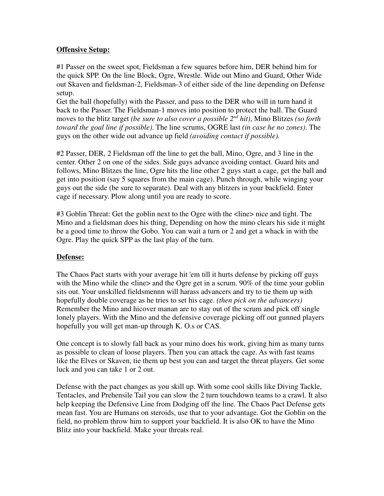### **Offensive Setup:**

#1 Passer on the sweet spot, Fieldsman a few squares before him, DER behind him for the quick SPP. On the line Block, Ogre, Wrestle. Wide out Mino and Guard, Other Wide out Skaven and fieldsman-2, Fieldsman-3 of either side of the line depending on Defense setup.

Get the ball (hopefully) with the Passer, and pass to the DER who will in turn hand it back to the Passer. The Fieldsman-1 moves into position to protect the ball. The Guard moves to the blitz target *(be sure to also cover a possible 2nd hit)*, Mino Blitzes *(so forth toward the goal line if possible)*. The line scrums, OGRE last *(in case he no zones)*. The guys on the other wide out advance up field *(avoiding contact if possible).*

#2 Passer, DER, 2 Fieldsman off the line to get the ball, Mino, Ogre, and 3 line in the center. Other 2 on one of the sides. Side guys advance avoiding contact. Guard hits and follows, Mino Blitzes the line, Ogre hits the line other 2 guys start a cage, get the ball and get into position (say 5 squares from the main cage). Punch through, while winging your guys out the side (be sure to separate). Deal with any blitzers in your backfield. Enter cage if necessary. Plow along until you are ready to score.

#3 Goblin Threat: Get the goblin next to the Ogre with the <line> nice and tight. The Mino and a fieldsman does his thing, Depending on how the mino clears his side it might be a good time to throw the Gobo. You can wait a turn or 2 and get a whack in with the Ogre. Play the quick SPP as the last play of the turn.

### **Defense:**

The Chaos Pact starts with your average hit 'em till it hurts defense by picking off guys with the Mino while the  $\langle$ line and the Ogre get in a scrum. 90% of the time your goblin sits out. Your unskilled fieldsmennn will harass advancers and try to tie them up with hopefully double coverage as he tries to set his cage. *(then pick on the advancers)* Remember the Mino and hicover manan are to stay out of the scrum and pick off single lonely players. With the Mino and the defensive coverage picking off out gunned players hopefully you will get man-up through K. O.s or CAS.

One concept is to slowly fall back as your mino does his work, giving him as many turns as possible to clean of loose players. Then you can attack the cage. As with fast teams like the Elves or Skaven, tie them up best you can and target the threat players. Get some luck and you can take 1 or 2 out.

Defense with the pact changes as you skill up. With some cool skills like Diving Tackle, Tentacles, and Prehensile Tail you can slow the 2 turn touchdown teams to a crawl. It also help keeping the Defensive Line from Dodging off the line. The Chaos Pact Defense gets mean fast. You are Humans on steroids, use that to your advantage. Got the Goblin on the field, no problem throw him to support your backfield. It is also OK to have the Mino Blitz into your backfield. Make your threats real.